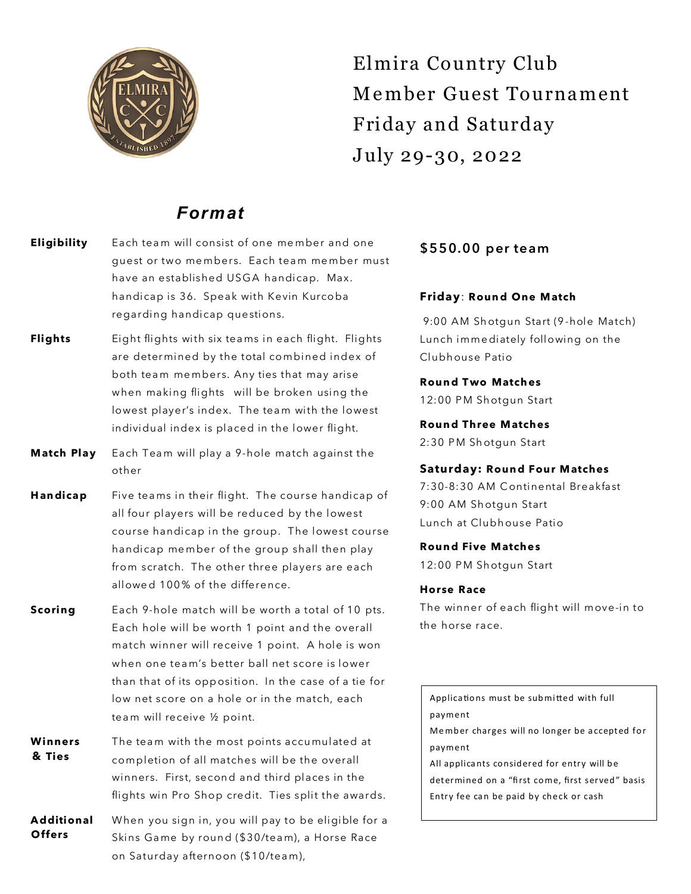

Elmira Country Club M e mber Guest Tournament Friday and Saturday July 29-30, 2022

## *Format*

- **Eligibility** Each team will consist of one member and one guest or two members. Each team member must have an established USGA handicap. Max. handicap is 36. Speak with Kevin Kurcoba regarding handicap questions.
- **Flights** Eight flights with six teams in each flight. Flights are deter mined by the total combined index of both team members. Any ties that may arise when making flights will be broken using the lowest player's index. The team with the lowest individual index is placed in the lower flight.
- **Match Play** Each Team will play a 9-hole match against the other
- Handicap Five teams in their flight. The course handicap of all four players will be reduced by the lowest course handicap in the group. The lowest course handicap member of the group shall then play from scratch. The other three players are each allowed 100% of the difference.
- **Scoring** Each 9-hole match will be worth a total of 10 pts. Each hole will be worth 1 point and the overall match winner will receive 1 point. A hole is won when one tea m's better ball net score is lower than that of its opp osition. In the case of a tie for low net score on a hole or in the match, each tea m will receive ½ point.
- **& Ties Winners** The team with the most points accumulated at completion of all matches will be the overall winners. First, second and third places in the flights win Pro Shop credit. Ties split the awards.
- **Offers A dditional** When you sign in, you will pay to be eligible for a Skins Game by round (\$30/team), a Horse Race on Saturday afternoon (\$10/tea m),

### \$550.00 per team

#### **Friday**: **Roun d One M atch**

9:00 AM Shotgun Start (9-hole Match) Lunch imme diately following on the Clubh ouse Patio

#### **Roun d T wo Match es**

12:00 PM Shotgun Start

**Roun d Three M atches** 2:30 PM Shotgun Start

#### **Saturday: Roun d Four M atches**

7:30-8:30 AM C ontinental Breakfast 9:00 AM Shotgun Start Lunch at Clubh ouse Patio

#### **Roun d Five M atche s**

12:00 PM Shotgun Start

#### **Horse Race**

The winner of each flight will move-in to the horse race.

Applications must be submitted with full payment Member charges will no longer be accepted for payment All applicants considered for entry will be determined on a "first come, first served" basis Entry fee can be paid by check or cash